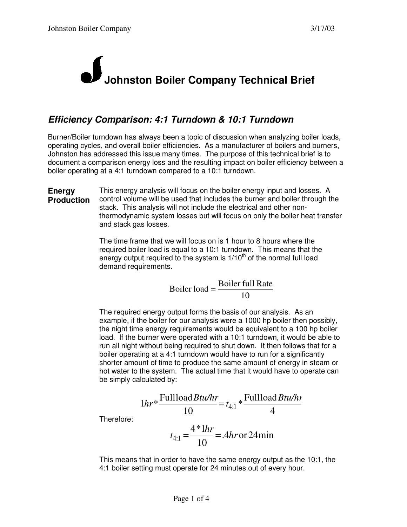## **Johnston Boiler Company Technical Brief**

## *Efficiency Comparison: 4:1 Turndown & 10:1 Turndown*

Burner/Boiler turndown has always been a topic of discussion when analyzing boiler loads, operating cycles, and overall boiler efficiencies. As a manufacturer of boilers and burners, Johnston has addressed this issue many times. The purpose of this technical brief is to document a comparison energy loss and the resulting impact on boiler efficiency between a boiler operating at a 4:1 turndown compared to a 10:1 turndown.

**Energy Production** This energy analysis will focus on the boiler energy input and losses. A control volume will be used that includes the burner and boiler through the stack. This analysis will not include the electrical and other nonthermodynamic system losses but will focus on only the boiler heat transfer and stack gas losses.

> The time frame that we will focus on is 1 hour to 8 hours where the required boiler load is equal to a 10:1 turndown. This means that the energy output required to the system is  $1/10<sup>th</sup>$  of the normal full load demand requirements.

Boiler load = 
$$
\frac{\text{Boiler full Rate}}{10}
$$

The required energy output forms the basis of our analysis. As an example, if the boiler for our analysis were a 1000 hp boiler then possibly, the night time energy requirements would be equivalent to a 100 hp boiler load. If the burner were operated with a 10:1 turndown, it would be able to run all night without being required to shut down. It then follows that for a boiler operating at a 4:1 turndown would have to run for a significantly shorter amount of time to produce the same amount of energy in steam or hot water to the system. The actual time that it would have to operate can be simply calculated by:

$$
1hr* \frac{\text{Fullload} Btu/hr}{10} = t_{4:1} * \frac{\text{Fullload} Btu/hr}{4}
$$

Therefore:

$$
t_{4:1} = \frac{4*1hr}{10} = .4hr \text{ or } 24\text{min}
$$

This means that in order to have the same energy output as the 10:1, the 4:1 boiler setting must operate for 24 minutes out of every hour.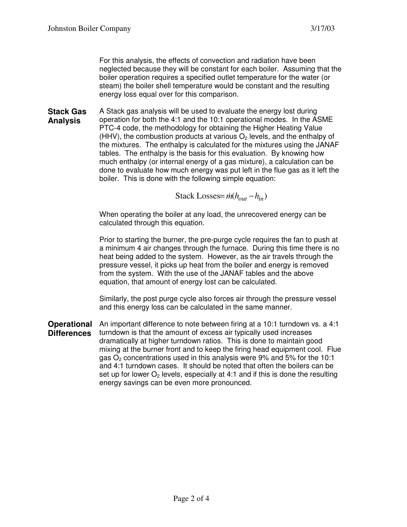For this analysis, the effects of convection and radiation have been neglected because they will be constant for each boiler. Assuming that the boiler operation requires a specified outlet temperature for the water (or steam) the boiler shell temperature would be constant and the resulting energy loss equal over for this comparison.

**Stack Gas Analysis** A Stack gas analysis will be used to evaluate the energy lost during operation for both the 4:1 and the 10:1 operational modes. In the ASME PTC-4 code, the methodology for obtaining the Higher Heating Value (HHV), the combustion products at various  $O<sub>2</sub>$  levels, and the enthalpy of the mixtures. The enthalpy is calculated for the mixtures using the JANAF tables. The enthalpy is the basis for this evaluation. By knowing how much enthalpy (or internal energy of a gas mixture), a calculation can be done to evaluate how much energy was put left in the flue gas as it left the boiler. This is done with the following simple equation:

 $Stack Loss = \dot{m} ( h_{out} - h_{in} )$ 

When operating the boiler at any load, the unrecovered energy can be calculated through this equation.

Prior to starting the burner, the pre-purge cycle requires the fan to push at a minimum 4 air changes through the furnace. During this time there is no heat being added to the system. However, as the air travels through the pressure vessel, it picks up heat from the boiler and energy is removed from the system. With the use of the JANAF tables and the above equation, that amount of energy lost can be calculated.

Similarly, the post purge cycle also forces air through the pressure vessel and this energy loss can be calculated in the same manner.

**Operational Differences** An important difference to note between firing at a 10:1 turndown vs. a 4:1 turndown is that the amount of excess air typically used increases dramatically at higher turndown ratios. This is done to maintain good mixing at the burner front and to keep the firing head equipment cool. Flue gas  $O<sub>2</sub>$  concentrations used in this analysis were 9% and 5% for the 10:1 and 4:1 turndown cases. It should be noted that often the boilers can be set up for lower  $O<sub>2</sub>$  levels, especially at 4:1 and if this is done the resulting energy savings can be even more pronounced.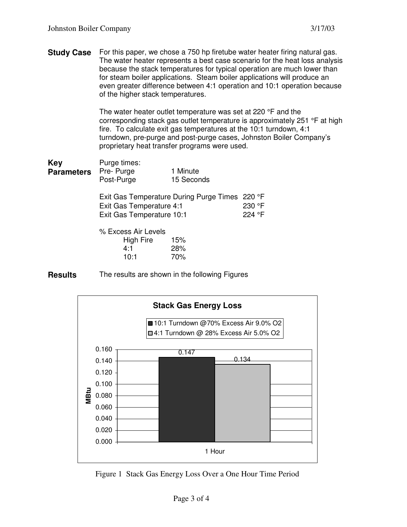**Study Case** For this paper, we chose a 750 hp firetube water heater firing natural gas. The water heater represents a best case scenario for the heat loss analysis because the stack temperatures for typical operation are much lower than for steam boiler applications. Steam boiler applications will produce an even greater difference between 4:1 operation and 10:1 operation because of the higher stack temperatures.

> The water heater outlet temperature was set at 220 °F and the corresponding stack gas outlet temperature is approximately 251 °F at high fire. To calculate exit gas temperatures at the 10:1 turndown, 4:1 turndown, pre-purge and post-purge cases, Johnston Boiler Company's proprietary heat transfer programs were used.

| Key               | Purge times:            |                        |
|-------------------|-------------------------|------------------------|
| <b>Parameters</b> | Pre-Purge<br>Post-Purge | 1 Minute<br>15 Seconds |

Exit Gas Temperature During Purge Times 220 °F Exit Gas Temperature 4:1 230 °F Exit Gas Temperature 10:1 224 °F

% Excess Air Levels High Fire 15% 4:1 28%

**Results** The results are shown in the following Figures

10:1 70%



Figure 1 Stack Gas Energy Loss Over a One Hour Time Period